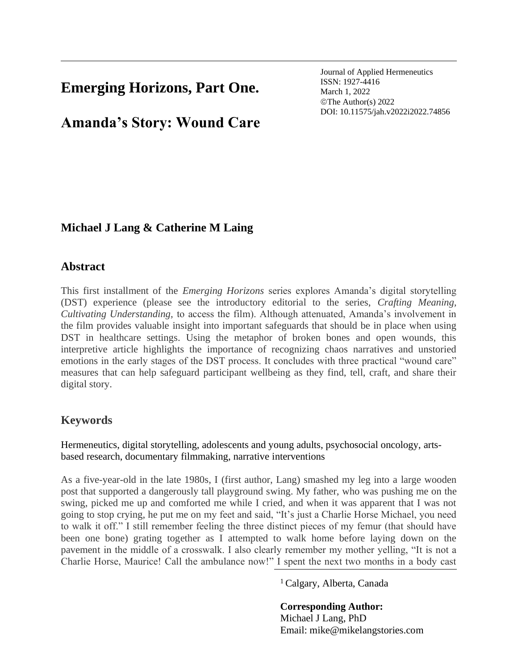# **Emerging Horizons, Part One.**

**Amanda's Story: Wound Care**

Journal of Applied Hermeneutics ISSN: 1927-4416 March 1, 2022 ©The Author(s) 2022 DOI: 10.11575/jah.v2022i2022.74856

# **Michael J Lang & Catherine M Laing**

## **Abstract**

This first installment of the *Emerging Horizons* series explores Amanda's digital storytelling (DST) experience (please see the introductory editorial to the series, *Crafting Meaning, Cultivating Understanding,* to access the film). Although attenuated, Amanda's involvement in the film provides valuable insight into important safeguards that should be in place when using DST in healthcare settings. Using the metaphor of broken bones and open wounds, this interpretive article highlights the importance of recognizing chaos narratives and unstoried emotions in the early stages of the DST process. It concludes with three practical "wound care" measures that can help safeguard participant wellbeing as they find, tell, craft, and share their digital story.

# **Keywords**

Hermeneutics, digital storytelling, adolescents and young adults, psychosocial oncology, artsbased research, documentary filmmaking, narrative interventions

As a five-year-old in the late 1980s, I (first author, Lang) smashed my leg into a large wooden post that supported a dangerously tall playground swing. My father, who was pushing me on the swing, picked me up and comforted me while I cried, and when it was apparent that I was not going to stop crying, he put me on my feet and said, "It's just a Charlie Horse Michael, you need to walk it off." I still remember feeling the three distinct pieces of my femur (that should have been one bone) grating together as I attempted to walk home before laying down on the pavement in the middle of a crosswalk. I also clearly remember my mother yelling, "It is not a Charlie Horse, Maurice! Call the ambulance now!" I spent the next two months in a body cast

<sup>1</sup>Calgary, Alberta, Canada

**Corresponding Author:** Michael J Lang, PhD Email: mike@mikelangstories.com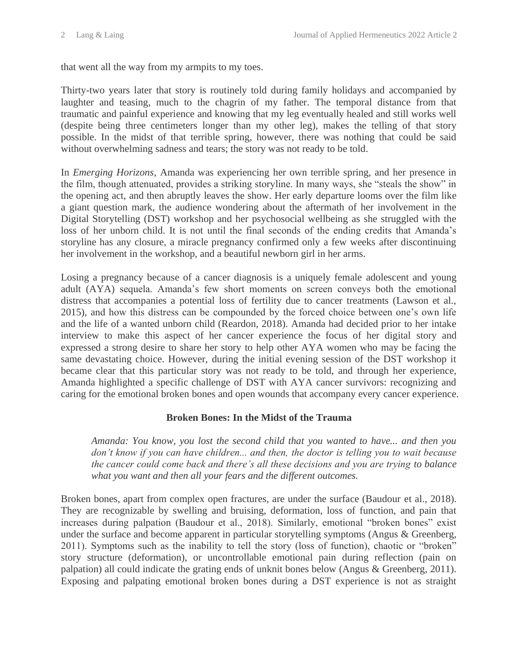that went all the way from my armpits to my toes.

Thirty-two years later that story is routinely told during family holidays and accompanied by laughter and teasing, much to the chagrin of my father. The temporal distance from that traumatic and painful experience and knowing that my leg eventually healed and still works well (despite being three centimeters longer than my other leg), makes the telling of that story possible. In the midst of that terrible spring, however, there was nothing that could be said without overwhelming sadness and tears; the story was not ready to be told.

In *Emerging Horizons*, Amanda was experiencing her own terrible spring, and her presence in the film, though attenuated, provides a striking storyline. In many ways, she "steals the show" in the opening act, and then abruptly leaves the show. Her early departure looms over the film like a giant question mark, the audience wondering about the aftermath of her involvement in the Digital Storytelling (DST) workshop and her psychosocial wellbeing as she struggled with the loss of her unborn child. It is not until the final seconds of the ending credits that Amanda's storyline has any closure, a miracle pregnancy confirmed only a few weeks after discontinuing her involvement in the workshop, and a beautiful newborn girl in her arms.

Losing a pregnancy because of a cancer diagnosis is a uniquely female adolescent and young adult (AYA) sequela. Amanda's few short moments on screen conveys both the emotional distress that accompanies a potential loss of fertility due to cancer treatments (Lawson et al., 2015), and how this distress can be compounded by the forced choice between one's own life and the life of a wanted unborn child (Reardon, 2018). Amanda had decided prior to her intake interview to make this aspect of her cancer experience the focus of her digital story and expressed a strong desire to share her story to help other AYA women who may be facing the same devastating choice. However, during the initial evening session of the DST workshop it became clear that this particular story was not ready to be told, and through her experience, Amanda highlighted a specific challenge of DST with AYA cancer survivors: recognizing and caring for the emotional broken bones and open wounds that accompany every cancer experience.

#### **Broken Bones: In the Midst of the Trauma**

*Amanda: You know, you lost the second child that you wanted to have... and then you don't know if you can have children... and then, the doctor is telling you to wait because the cancer could come back and there's all these decisions and you are trying to balance what you want and then all your fears and the different outcomes.*

Broken bones, apart from complex open fractures, are under the surface (Baudour et al., 2018). They are recognizable by swelling and bruising, deformation, loss of function, and pain that increases during palpation (Baudour et al., 2018). Similarly, emotional "broken bones" exist under the surface and become apparent in particular storytelling symptoms (Angus & Greenberg, 2011). Symptoms such as the inability to tell the story (loss of function), chaotic or "broken" story structure (deformation), or uncontrollable emotional pain during reflection (pain on palpation) all could indicate the grating ends of unknit bones below (Angus & Greenberg, 2011). Exposing and palpating emotional broken bones during a DST experience is not as straight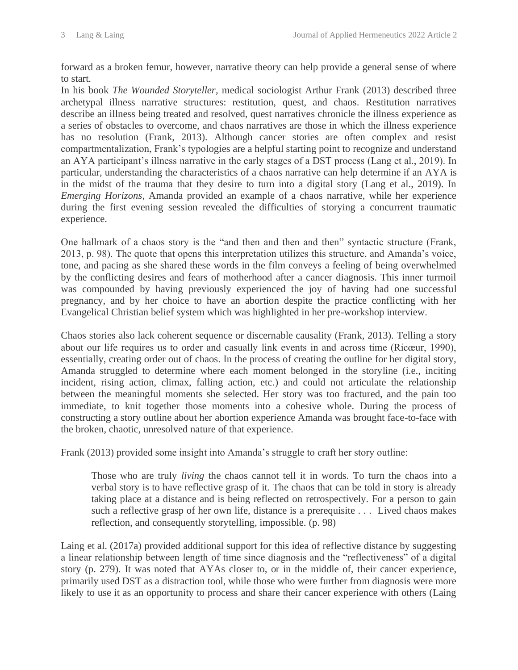forward as a broken femur, however, narrative theory can help provide a general sense of where to start.

In his book *The Wounded Storyteller*, medical sociologist Arthur Frank (2013) described three archetypal illness narrative structures: restitution, quest, and chaos. Restitution narratives describe an illness being treated and resolved, quest narratives chronicle the illness experience as a series of obstacles to overcome, and chaos narratives are those in which the illness experience has no resolution (Frank, 2013). Although cancer stories are often complex and resist compartmentalization, Frank's typologies are a helpful starting point to recognize and understand an AYA participant's illness narrative in the early stages of a DST process (Lang et al., 2019). In particular, understanding the characteristics of a chaos narrative can help determine if an AYA is in the midst of the trauma that they desire to turn into a digital story (Lang et al., 2019). In *Emerging Horizons*, Amanda provided an example of a chaos narrative, while her experience during the first evening session revealed the difficulties of storying a concurrent traumatic experience.

One hallmark of a chaos story is the "and then and then and then" syntactic structure (Frank, 2013, p. 98). The quote that opens this interpretation utilizes this structure, and Amanda's voice, tone, and pacing as she shared these words in the film conveys a feeling of being overwhelmed by the conflicting desires and fears of motherhood after a cancer diagnosis. This inner turmoil was compounded by having previously experienced the joy of having had one successful pregnancy, and by her choice to have an abortion despite the practice conflicting with her Evangelical Christian belief system which was highlighted in her pre-workshop interview.

Chaos stories also lack coherent sequence or discernable causality (Frank, 2013). Telling a story about our life requires us to order and casually link events in and across time (Ricœur, 1990), essentially, creating order out of chaos. In the process of creating the outline for her digital story, Amanda struggled to determine where each moment belonged in the storyline (i.e., inciting incident, rising action, climax, falling action, etc.) and could not articulate the relationship between the meaningful moments she selected. Her story was too fractured, and the pain too immediate, to knit together those moments into a cohesive whole. During the process of constructing a story outline about her abortion experience Amanda was brought face-to-face with the broken, chaotic, unresolved nature of that experience.

Frank (2013) provided some insight into Amanda's struggle to craft her story outline:

Those who are truly *living* the chaos cannot tell it in words. To turn the chaos into a verbal story is to have reflective grasp of it. The chaos that can be told in story is already taking place at a distance and is being reflected on retrospectively. For a person to gain such a reflective grasp of her own life, distance is a prerequisite . . . Lived chaos makes reflection, and consequently storytelling, impossible. (p. 98)

Laing et al. (2017a) provided additional support for this idea of reflective distance by suggesting a linear relationship between length of time since diagnosis and the "reflectiveness" of a digital story (p. 279). It was noted that AYAs closer to, or in the middle of, their cancer experience, primarily used DST as a distraction tool, while those who were further from diagnosis were more likely to use it as an opportunity to process and share their cancer experience with others (Laing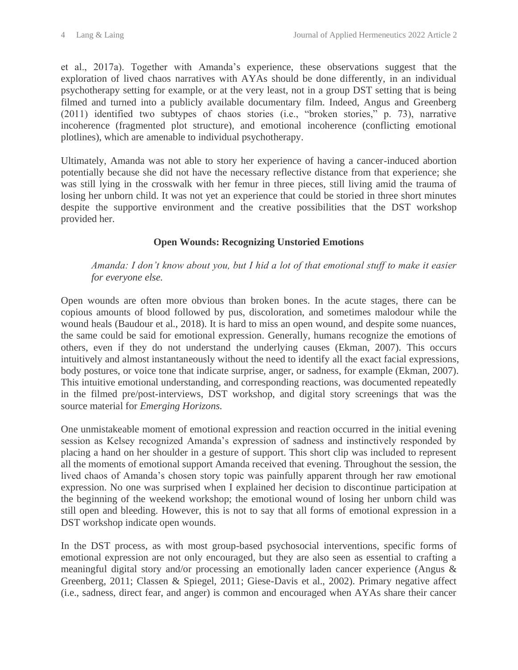et al., 2017a). Together with Amanda's experience, these observations suggest that the exploration of lived chaos narratives with AYAs should be done differently, in an individual psychotherapy setting for example, or at the very least, not in a group DST setting that is being filmed and turned into a publicly available documentary film. Indeed, Angus and Greenberg (2011) identified two subtypes of chaos stories (i.e., "broken stories," p. 73), narrative incoherence (fragmented plot structure), and emotional incoherence (conflicting emotional plotlines), which are amenable to individual psychotherapy.

Ultimately, Amanda was not able to story her experience of having a cancer-induced abortion potentially because she did not have the necessary reflective distance from that experience; she was still lying in the crosswalk with her femur in three pieces, still living amid the trauma of losing her unborn child. It was not yet an experience that could be storied in three short minutes despite the supportive environment and the creative possibilities that the DST workshop provided her.

## **Open Wounds: Recognizing Unstoried Emotions**

#### *Amanda: I don't know about you, but I hid a lot of that emotional stuff to make it easier for everyone else.*

Open wounds are often more obvious than broken bones. In the acute stages, there can be copious amounts of blood followed by pus, discoloration, and sometimes malodour while the wound heals (Baudour et al., 2018). It is hard to miss an open wound, and despite some nuances, the same could be said for emotional expression. Generally, humans recognize the emotions of others, even if they do not understand the underlying causes (Ekman, 2007). This occurs intuitively and almost instantaneously without the need to identify all the exact facial expressions, body postures, or voice tone that indicate surprise, anger, or sadness, for example (Ekman, 2007). This intuitive emotional understanding, and corresponding reactions, was documented repeatedly in the filmed pre/post-interviews, DST workshop, and digital story screenings that was the source material for *Emerging Horizons.*

One unmistakeable moment of emotional expression and reaction occurred in the initial evening session as Kelsey recognized Amanda's expression of sadness and instinctively responded by placing a hand on her shoulder in a gesture of support. This short clip was included to represent all the moments of emotional support Amanda received that evening. Throughout the session, the lived chaos of Amanda's chosen story topic was painfully apparent through her raw emotional expression. No one was surprised when I explained her decision to discontinue participation at the beginning of the weekend workshop; the emotional wound of losing her unborn child was still open and bleeding. However, this is not to say that all forms of emotional expression in a DST workshop indicate open wounds.

In the DST process, as with most group-based psychosocial interventions, specific forms of emotional expression are not only encouraged, but they are also seen as essential to crafting a meaningful digital story and/or processing an emotionally laden cancer experience (Angus & Greenberg, 2011; Classen & Spiegel, 2011; Giese-Davis et al., 2002). Primary negative affect (i.e., sadness, direct fear, and anger) is common and encouraged when AYAs share their cancer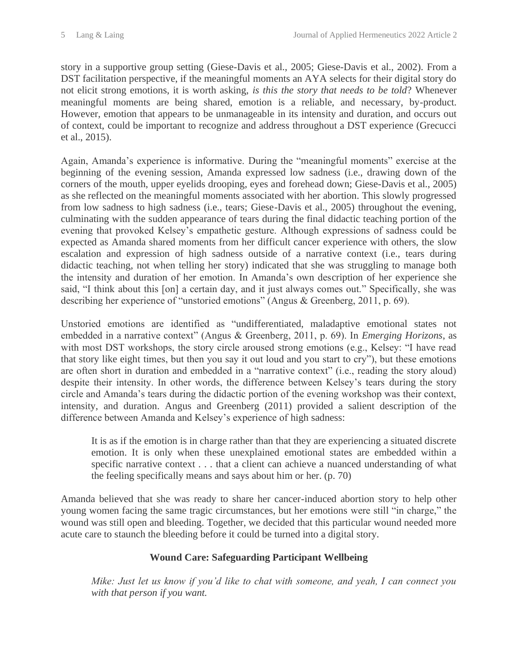story in a supportive group setting (Giese-Davis et al., 2005; Giese-Davis et al., 2002). From a DST facilitation perspective, if the meaningful moments an AYA selects for their digital story do not elicit strong emotions, it is worth asking, *is this the story that needs to be told*? Whenever meaningful moments are being shared, emotion is a reliable, and necessary, by-product. However, emotion that appears to be unmanageable in its intensity and duration, and occurs out of context, could be important to recognize and address throughout a DST experience (Grecucci et al., 2015).

Again, Amanda's experience is informative. During the "meaningful moments" exercise at the beginning of the evening session, Amanda expressed low sadness (i.e., drawing down of the corners of the mouth, upper eyelids drooping, eyes and forehead down; Giese-Davis et al., 2005) as she reflected on the meaningful moments associated with her abortion. This slowly progressed from low sadness to high sadness (i.e., tears; Giese-Davis et al., 2005) throughout the evening, culminating with the sudden appearance of tears during the final didactic teaching portion of the evening that provoked Kelsey's empathetic gesture. Although expressions of sadness could be expected as Amanda shared moments from her difficult cancer experience with others, the slow escalation and expression of high sadness outside of a narrative context (i.e., tears during didactic teaching, not when telling her story) indicated that she was struggling to manage both the intensity and duration of her emotion. In Amanda's own description of her experience she said, "I think about this [on] a certain day, and it just always comes out." Specifically, she was describing her experience of "unstoried emotions" (Angus & Greenberg, 2011, p. 69).

Unstoried emotions are identified as "undifferentiated, maladaptive emotional states not embedded in a narrative context" (Angus & Greenberg, 2011, p. 69). In *Emerging Horizons*, as with most DST workshops, the story circle aroused strong emotions (e.g., Kelsey: "I have read that story like eight times, but then you say it out loud and you start to cry"), but these emotions are often short in duration and embedded in a "narrative context" (i.e., reading the story aloud) despite their intensity. In other words, the difference between Kelsey's tears during the story circle and Amanda's tears during the didactic portion of the evening workshop was their context, intensity, and duration. Angus and Greenberg (2011) provided a salient description of the difference between Amanda and Kelsey's experience of high sadness:

It is as if the emotion is in charge rather than that they are experiencing a situated discrete emotion. It is only when these unexplained emotional states are embedded within a specific narrative context . . . that a client can achieve a nuanced understanding of what the feeling specifically means and says about him or her. (p. 70)

Amanda believed that she was ready to share her cancer-induced abortion story to help other young women facing the same tragic circumstances, but her emotions were still "in charge," the wound was still open and bleeding. Together, we decided that this particular wound needed more acute care to staunch the bleeding before it could be turned into a digital story.

## **Wound Care: Safeguarding Participant Wellbeing**

*Mike: Just let us know if you'd like to chat with someone, and yeah, I can connect you with that person if you want.*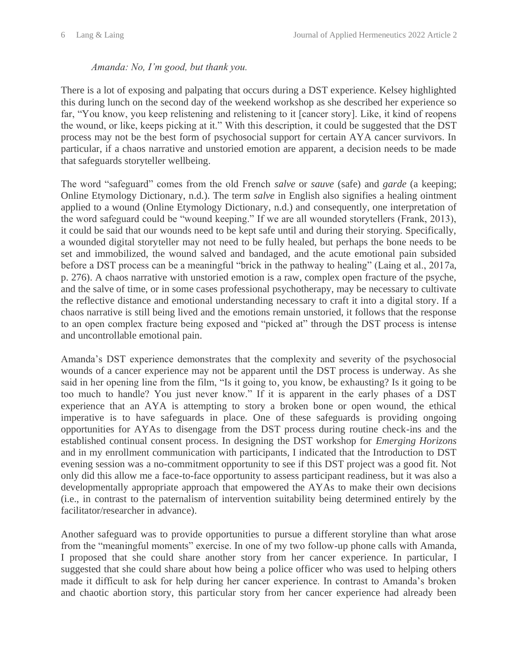#### *Amanda: No, I'm good, but thank you.*

There is a lot of exposing and palpating that occurs during a DST experience. Kelsey highlighted this during lunch on the second day of the weekend workshop as she described her experience so far, "You know, you keep relistening and relistening to it [cancer story]. Like, it kind of reopens the wound, or like, keeps picking at it." With this description, it could be suggested that the DST process may not be the best form of psychosocial support for certain AYA cancer survivors. In particular, if a chaos narrative and unstoried emotion are apparent, a decision needs to be made that safeguards storyteller wellbeing.

The word "safeguard" comes from the old French *salve* or *sauve* (safe) and *garde* (a keeping; Online Etymology Dictionary, n.d.). The term *salve* in English also signifies a healing ointment applied to a wound (Online Etymology Dictionary, n.d.) and consequently, one interpretation of the word safeguard could be "wound keeping." If we are all wounded storytellers (Frank, 2013), it could be said that our wounds need to be kept safe until and during their storying. Specifically, a wounded digital storyteller may not need to be fully healed, but perhaps the bone needs to be set and immobilized, the wound salved and bandaged, and the acute emotional pain subsided before a DST process can be a meaningful "brick in the pathway to healing" (Laing et al., 2017a, p. 276). A chaos narrative with unstoried emotion is a raw, complex open fracture of the psyche, and the salve of time, or in some cases professional psychotherapy, may be necessary to cultivate the reflective distance and emotional understanding necessary to craft it into a digital story. If a chaos narrative is still being lived and the emotions remain unstoried, it follows that the response to an open complex fracture being exposed and "picked at" through the DST process is intense and uncontrollable emotional pain.

Amanda's DST experience demonstrates that the complexity and severity of the psychosocial wounds of a cancer experience may not be apparent until the DST process is underway. As she said in her opening line from the film, "Is it going to, you know, be exhausting? Is it going to be too much to handle? You just never know." If it is apparent in the early phases of a DST experience that an AYA is attempting to story a broken bone or open wound, the ethical imperative is to have safeguards in place. One of these safeguards is providing ongoing opportunities for AYAs to disengage from the DST process during routine check-ins and the established continual consent process. In designing the DST workshop for *Emerging Horizons* and in my enrollment communication with participants, I indicated that the Introduction to DST evening session was a no-commitment opportunity to see if this DST project was a good fit. Not only did this allow me a face-to-face opportunity to assess participant readiness, but it was also a developmentally appropriate approach that empowered the AYAs to make their own decisions (i.e., in contrast to the paternalism of intervention suitability being determined entirely by the facilitator/researcher in advance).

Another safeguard was to provide opportunities to pursue a different storyline than what arose from the "meaningful moments" exercise. In one of my two follow-up phone calls with Amanda, I proposed that she could share another story from her cancer experience. In particular, I suggested that she could share about how being a police officer who was used to helping others made it difficult to ask for help during her cancer experience. In contrast to Amanda's broken and chaotic abortion story, this particular story from her cancer experience had already been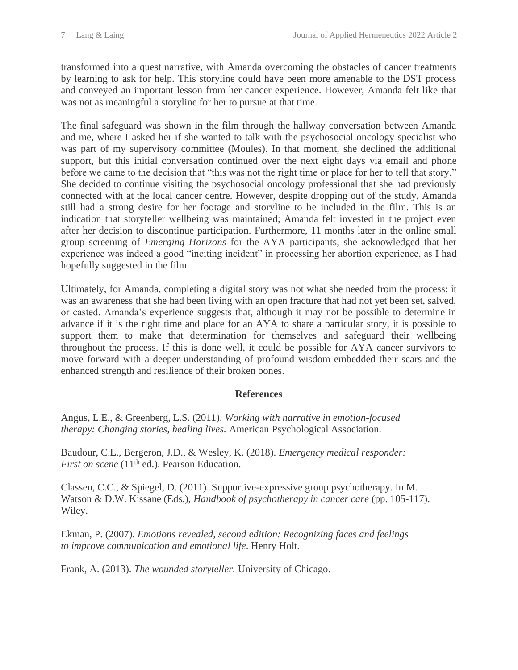transformed into a quest narrative, with Amanda overcoming the obstacles of cancer treatments by learning to ask for help. This storyline could have been more amenable to the DST process and conveyed an important lesson from her cancer experience. However, Amanda felt like that was not as meaningful a storyline for her to pursue at that time.

The final safeguard was shown in the film through the hallway conversation between Amanda and me, where I asked her if she wanted to talk with the psychosocial oncology specialist who was part of my supervisory committee (Moules). In that moment, she declined the additional support, but this initial conversation continued over the next eight days via email and phone before we came to the decision that "this was not the right time or place for her to tell that story." She decided to continue visiting the psychosocial oncology professional that she had previously connected with at the local cancer centre. However, despite dropping out of the study, Amanda still had a strong desire for her footage and storyline to be included in the film. This is an indication that storyteller wellbeing was maintained; Amanda felt invested in the project even after her decision to discontinue participation. Furthermore, 11 months later in the online small group screening of *Emerging Horizons* for the AYA participants, she acknowledged that her experience was indeed a good "inciting incident" in processing her abortion experience, as I had hopefully suggested in the film.

Ultimately, for Amanda, completing a digital story was not what she needed from the process; it was an awareness that she had been living with an open fracture that had not yet been set, salved, or casted. Amanda's experience suggests that, although it may not be possible to determine in advance if it is the right time and place for an AYA to share a particular story, it is possible to support them to make that determination for themselves and safeguard their wellbeing throughout the process. If this is done well, it could be possible for AYA cancer survivors to move forward with a deeper understanding of profound wisdom embedded their scars and the enhanced strength and resilience of their broken bones.

## **References**

Angus, L.E., & Greenberg, L.S. (2011). *Working with narrative in emotion-focused therapy: Changing stories, healing lives.* American Psychological Association.

Baudour, C.L., Bergeron, J.D., & Wesley, K. (2018). *Emergency medical responder: First on scene* (11<sup>th</sup> ed.). Pearson Education.

Classen, C.C., & Spiegel, D. (2011). Supportive-expressive group psychotherapy. In M. Watson & D.W. Kissane (Eds.), *Handbook of psychotherapy in cancer care* (pp. 105-117). Wiley.

Ekman, P. (2007). *Emotions revealed, second edition: Recognizing faces and feelings to improve communication and emotional life*. Henry Holt.

Frank, A. (2013). *The wounded storyteller.* University of Chicago.